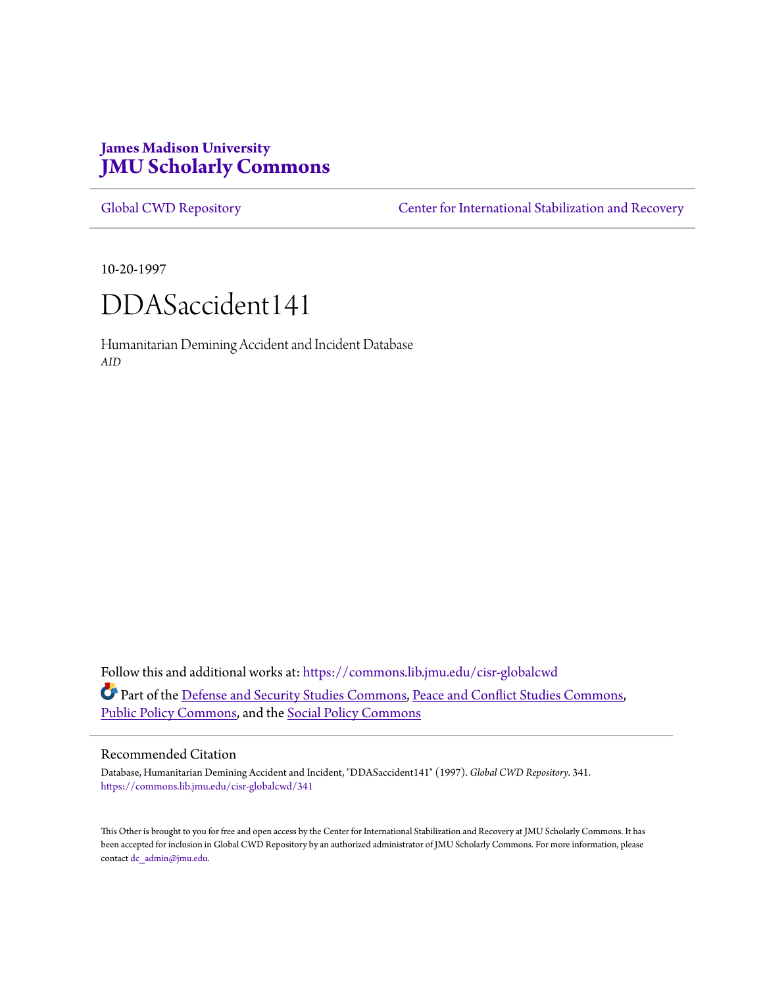# **James Madison University [JMU Scholarly Commons](https://commons.lib.jmu.edu?utm_source=commons.lib.jmu.edu%2Fcisr-globalcwd%2F341&utm_medium=PDF&utm_campaign=PDFCoverPages)**

[Global CWD Repository](https://commons.lib.jmu.edu/cisr-globalcwd?utm_source=commons.lib.jmu.edu%2Fcisr-globalcwd%2F341&utm_medium=PDF&utm_campaign=PDFCoverPages) **[Center for International Stabilization and Recovery](https://commons.lib.jmu.edu/cisr?utm_source=commons.lib.jmu.edu%2Fcisr-globalcwd%2F341&utm_medium=PDF&utm_campaign=PDFCoverPages)** 

10-20-1997

# DDASaccident141

Humanitarian Demining Accident and Incident Database *AID*

Follow this and additional works at: [https://commons.lib.jmu.edu/cisr-globalcwd](https://commons.lib.jmu.edu/cisr-globalcwd?utm_source=commons.lib.jmu.edu%2Fcisr-globalcwd%2F341&utm_medium=PDF&utm_campaign=PDFCoverPages) Part of the [Defense and Security Studies Commons](http://network.bepress.com/hgg/discipline/394?utm_source=commons.lib.jmu.edu%2Fcisr-globalcwd%2F341&utm_medium=PDF&utm_campaign=PDFCoverPages), [Peace and Conflict Studies Commons](http://network.bepress.com/hgg/discipline/397?utm_source=commons.lib.jmu.edu%2Fcisr-globalcwd%2F341&utm_medium=PDF&utm_campaign=PDFCoverPages), [Public Policy Commons,](http://network.bepress.com/hgg/discipline/400?utm_source=commons.lib.jmu.edu%2Fcisr-globalcwd%2F341&utm_medium=PDF&utm_campaign=PDFCoverPages) and the [Social Policy Commons](http://network.bepress.com/hgg/discipline/1030?utm_source=commons.lib.jmu.edu%2Fcisr-globalcwd%2F341&utm_medium=PDF&utm_campaign=PDFCoverPages)

## Recommended Citation

Database, Humanitarian Demining Accident and Incident, "DDASaccident141" (1997). *Global CWD Repository*. 341. [https://commons.lib.jmu.edu/cisr-globalcwd/341](https://commons.lib.jmu.edu/cisr-globalcwd/341?utm_source=commons.lib.jmu.edu%2Fcisr-globalcwd%2F341&utm_medium=PDF&utm_campaign=PDFCoverPages)

This Other is brought to you for free and open access by the Center for International Stabilization and Recovery at JMU Scholarly Commons. It has been accepted for inclusion in Global CWD Repository by an authorized administrator of JMU Scholarly Commons. For more information, please contact [dc\\_admin@jmu.edu.](mailto:dc_admin@jmu.edu)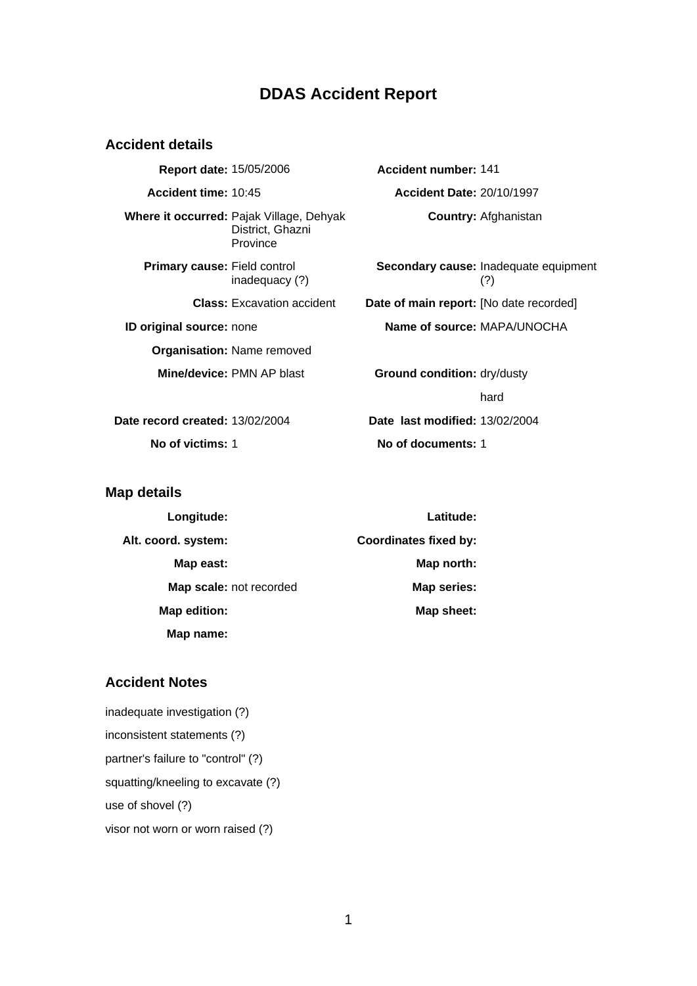## **DDAS Accident Report**

#### **Accident details**

**Report date:** 15/05/2006 **Accident number:** 141 **Accident time:** 10:45 **Accident Date:** 20/10/1997 **Where it occurred:** Pajak Village, Dehyak District, Ghazni Province **Primary cause:** Field control inadequacy (?) **ID original source:** none **Name of source:** MAPA/UNOCHA **Organisation:** Name removed **Mine/device:** PMN AP blast **Ground condition:** dry/dusty

**Country:** Afghanistan

**Secondary cause:** Inadequate equipment (?) **Class:** Excavation accident **Date of main report:** [No date recorded]

hard **Date record created:** 13/02/2004 **Date last modified:** 13/02/2004 **No of victims:** 1 **No of documents:** 1

### **Map details**

| Longitude:              | Latitude:                    |
|-------------------------|------------------------------|
| Alt. coord. system:     | <b>Coordinates fixed by:</b> |
| Map east:               | Map north:                   |
| Map scale: not recorded | Map series:                  |
| Map edition:            | Map sheet:                   |
| Map name:               |                              |

## **Accident Notes**

inadequate investigation (?) inconsistent statements (?) partner's failure to "control" (?) squatting/kneeling to excavate (?) use of shovel (?) visor not worn or worn raised (?)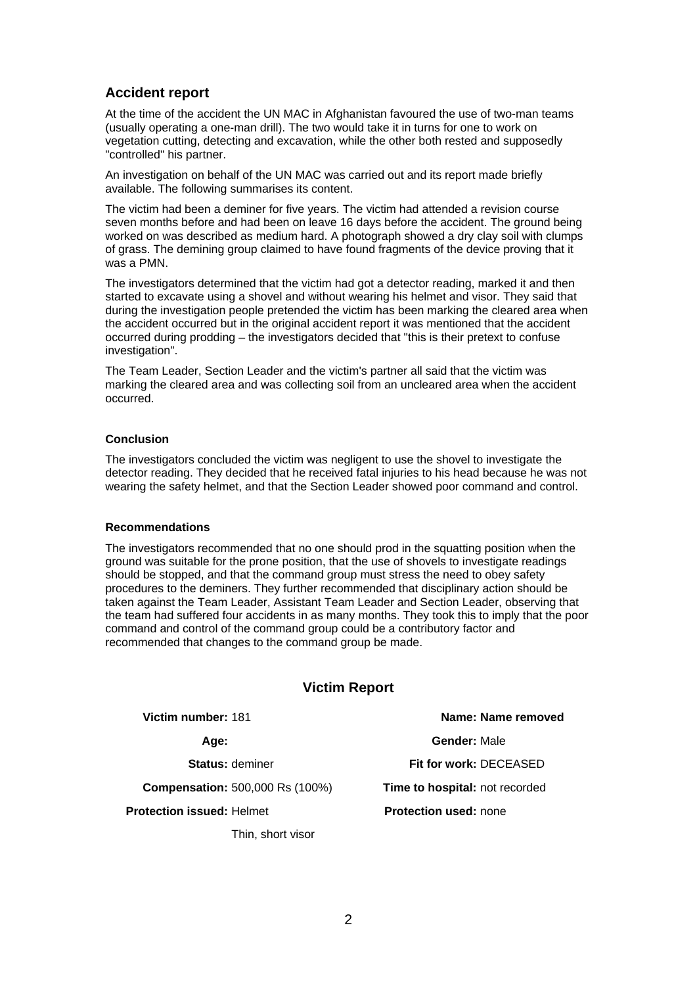## **Accident report**

At the time of the accident the UN MAC in Afghanistan favoured the use of two-man teams (usually operating a one-man drill). The two would take it in turns for one to work on vegetation cutting, detecting and excavation, while the other both rested and supposedly "controlled" his partner.

An investigation on behalf of the UN MAC was carried out and its report made briefly available. The following summarises its content.

The victim had been a deminer for five years. The victim had attended a revision course seven months before and had been on leave 16 days before the accident. The ground being worked on was described as medium hard. A photograph showed a dry clay soil with clumps of grass. The demining group claimed to have found fragments of the device proving that it was a PMN.

The investigators determined that the victim had got a detector reading, marked it and then started to excavate using a shovel and without wearing his helmet and visor. They said that during the investigation people pretended the victim has been marking the cleared area when the accident occurred but in the original accident report it was mentioned that the accident occurred during prodding – the investigators decided that "this is their pretext to confuse investigation".

The Team Leader, Section Leader and the victim's partner all said that the victim was marking the cleared area and was collecting soil from an uncleared area when the accident occurred.

#### **Conclusion**

The investigators concluded the victim was negligent to use the shovel to investigate the detector reading. They decided that he received fatal injuries to his head because he was not wearing the safety helmet, and that the Section Leader showed poor command and control.

#### **Recommendations**

The investigators recommended that no one should prod in the squatting position when the ground was suitable for the prone position, that the use of shovels to investigate readings should be stopped, and that the command group must stress the need to obey safety procedures to the deminers. They further recommended that disciplinary action should be taken against the Team Leader, Assistant Team Leader and Section Leader, observing that the team had suffered four accidents in as many months. They took this to imply that the poor command and control of the command group could be a contributory factor and recommended that changes to the command group be made.

## **Victim Report**

**Victim number:** 181 **Name: Name removed**

**Compensation:** 500,000 Rs (100%) **Time to hospital:** not recorded

**Protection issued:** Helmet

Thin, short visor

**Age: Gender:** Male **Status:** deminer **Fit for work:** DECEASED **Protection used:** none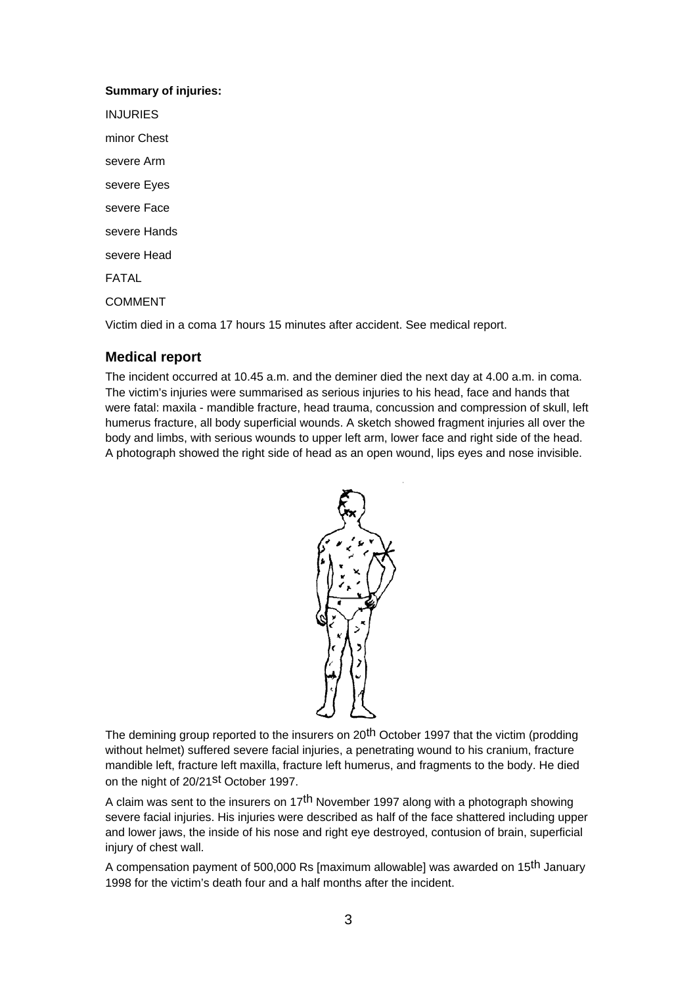## **Summary of injuries:**

INJURIES minor Chest severe Arm severe Eyes severe Face severe Hands severe Head FATAL COMMENT

Victim died in a coma 17 hours 15 minutes after accident. See medical report.

## **Medical report**

The incident occurred at 10.45 a.m. and the deminer died the next day at 4.00 a.m. in coma. The victim's injuries were summarised as serious injuries to his head, face and hands that were fatal: maxila - mandible fracture, head trauma, concussion and compression of skull, left humerus fracture, all body superficial wounds. A sketch showed fragment injuries all over the body and limbs, with serious wounds to upper left arm, lower face and right side of the head. A photograph showed the right side of head as an open wound, lips eyes and nose invisible.



The demining group reported to the insurers on 20<sup>th</sup> October 1997 that the victim (prodding without helmet) suffered severe facial injuries, a penetrating wound to his cranium, fracture mandible left, fracture left maxilla, fracture left humerus, and fragments to the body. He died on the night of 20/21<sup>st</sup> October 1997.

A claim was sent to the insurers on 17<sup>th</sup> November 1997 along with a photograph showing severe facial injuries. His injuries were described as half of the face shattered including upper and lower jaws, the inside of his nose and right eye destroyed, contusion of brain, superficial injury of chest wall.

A compensation payment of 500,000 Rs [maximum allowable] was awarded on 15th January 1998 for the victim's death four and a half months after the incident.